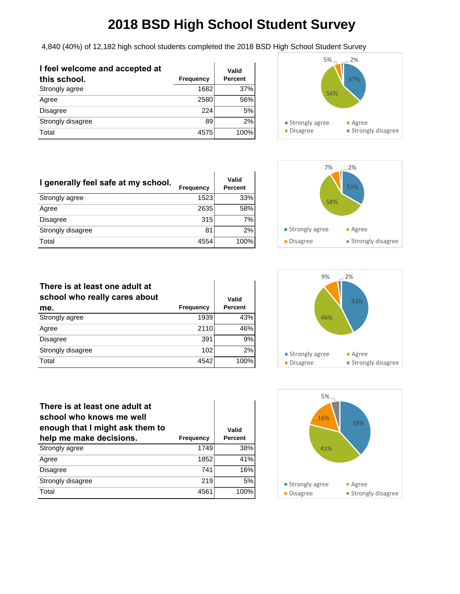4,840 (40%) of 12,182 high school students completed the 2018 BSD High School Student Survey

| I feel welcome and accepted at<br>this school. | Frequency | Valid<br>Percent |
|------------------------------------------------|-----------|------------------|
| Strongly agree                                 | 1682      | 37%              |
| Agree                                          | 2580      | 56%              |
| <b>Disagree</b>                                | 224       | 5%               |
| Strongly disagree                              | 89        | 2%               |
| Total                                          | 4575      | 100%             |



| I generally feel safe at my school. | <b>Frequency</b> | Valid<br>Percent |
|-------------------------------------|------------------|------------------|
| Strongly agree                      | 1523             | 33%              |
| Agree                               | 2635             | 58%              |
| <b>Disagree</b>                     | 315              | 7%               |
| Strongly disagree                   | 81               | 2%               |
| Total                               | 4554             | 100%             |



| There is at least one adult at<br>school who really cares about | Frequency | Valid<br>Percent |
|-----------------------------------------------------------------|-----------|------------------|
| me.                                                             |           |                  |
| Strongly agree                                                  | 1939      | 43%              |
| Agree                                                           | 2110      | 46%              |
| <b>Disagree</b>                                                 | 391       | 9%               |
| Strongly disagree                                               | 102       | 2%               |
| Total                                                           | 4542      | 100%             |



| There is at least one adult at<br>school who knows me well<br>enough that I might ask them to<br>help me make decisions. | <b>Frequency</b> | Valid<br>Percent |
|--------------------------------------------------------------------------------------------------------------------------|------------------|------------------|
| Strongly agree                                                                                                           | 1749             | 38%              |
| Agree                                                                                                                    | 1852             | 41%              |
| <b>Disagree</b>                                                                                                          | 741              | 16%              |
| Strongly disagree                                                                                                        | 219              | 5%               |
| Total                                                                                                                    | 4561             | 100%             |

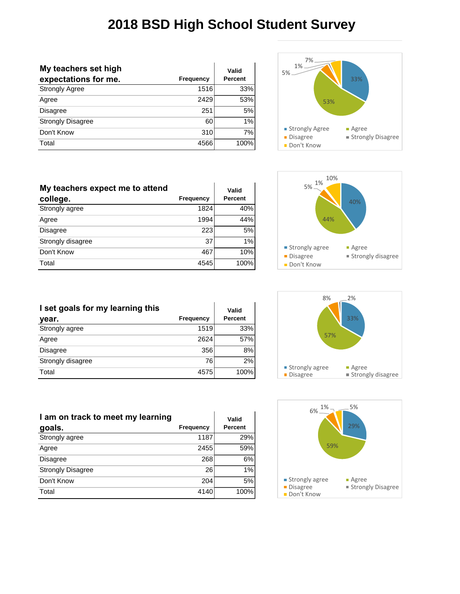| My teachers set high     |           | Valid   |
|--------------------------|-----------|---------|
| expectations for me.     | Frequency | Percent |
| <b>Strongly Agree</b>    | 1516      | 33%     |
| Agree                    | 2429      | 53%     |
| <b>Disagree</b>          | 251       | 5%      |
| <b>Strongly Disagree</b> | 60        | 1%      |
| Don't Know               | 310       | 7%      |
| Total                    | 4566      | 100%    |



| My teachers expect me to attend<br>college. | Frequency | Valid<br><b>Percent</b> |
|---------------------------------------------|-----------|-------------------------|
| Strongly agree                              | 1824      | 40%                     |
| Agree                                       | 1994      | 44%                     |
| <b>Disagree</b>                             | 223       | 5%                      |
| Strongly disagree                           | 37        | 1%                      |
| Don't Know                                  | 467       | 10%                     |
| Total                                       | 4545      | 100%                    |



| I set goals for my learning this |           | Valid   |
|----------------------------------|-----------|---------|
| year.                            | Frequency | Percent |
| Strongly agree                   | 1519      | 33%     |
| Agree                            | 2624      | 57%     |
| Disagree                         | 356       | 8%      |
| Strongly disagree                | 76        | 2%      |
| Total                            | 4575      | 100%    |

| 8%               | 2%                       |
|------------------|--------------------------|
| 57%              | 33%                      |
| ■ Strongly agree | ■ Agree                  |
| <b>Disagree</b>  | <b>Strongly disagree</b> |



| I am on track to meet my learning |                  | Valid   |
|-----------------------------------|------------------|---------|
| goals.                            | <b>Frequency</b> | Percent |
| Strongly agree                    | 1187             | 29%     |
| Agree                             | 2455             | 59%     |
| <b>Disagree</b>                   | 268              | 6%      |
| <b>Strongly Disagree</b>          | 26               | 1%      |
| Don't Know                        | 204              | 5%      |
| Total                             | 4140             | 100%    |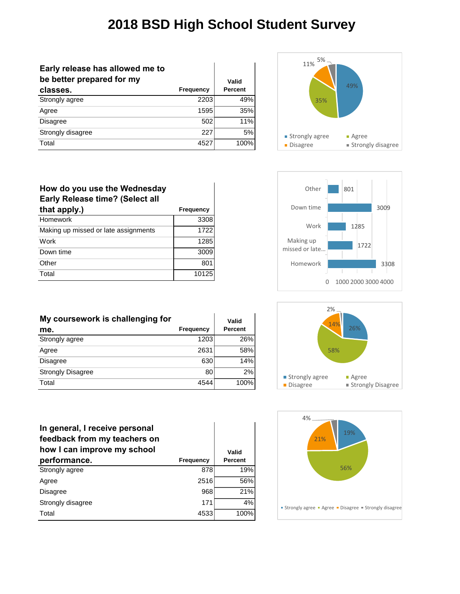| Early release has allowed me to<br>be better prepared for my |                  | Valid          |
|--------------------------------------------------------------|------------------|----------------|
| classes.                                                     | <b>Frequency</b> | <b>Percent</b> |
| Strongly agree                                               | 2203             | 49%            |
| Agree                                                        | 1595             | 35%            |
| <b>Disagree</b>                                              | 502              | 11%            |
| Strongly disagree                                            | 227              | 5%             |
| Total                                                        | 4527             | 100%           |





| My coursework is challenging for |           | Valid   |
|----------------------------------|-----------|---------|
| me.                              | Frequency | Percent |
| Strongly agree                   | 1203      | 26%     |
| Agree                            | 2631      | 58%     |
| <b>Disagree</b>                  | 630       | 14%     |
| <b>Strongly Disagree</b>         | 80        | 2%      |
| Total                            | 4544      | 100%    |

| In general, I receive personal<br>feedback from my teachers on<br>how I can improve my school |                  | Valid          |
|-----------------------------------------------------------------------------------------------|------------------|----------------|
| performance.                                                                                  | <b>Frequency</b> | <b>Percent</b> |
| Strongly agree                                                                                | 878              | 19%            |
| Agree                                                                                         | 2516             | 56%            |
| <b>Disagree</b>                                                                               | 968              | 21%            |
| Strongly disagree                                                                             | 171              | 4%             |
| Total                                                                                         | 4533             | 100%           |





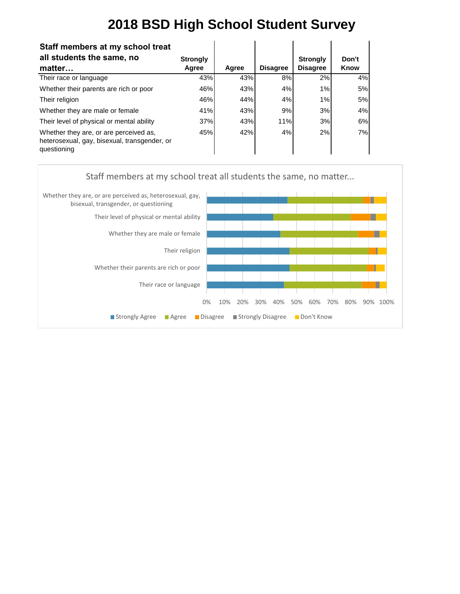| Staff members at my school treat                                                                      |                 |       |                 |                 |       |
|-------------------------------------------------------------------------------------------------------|-----------------|-------|-----------------|-----------------|-------|
| all students the same, no                                                                             | <b>Strongly</b> |       |                 | <b>Strongly</b> | Don't |
| matter                                                                                                | Agree           | Agree | <b>Disagree</b> | <b>Disagree</b> | Know  |
| Their race or language                                                                                | 43%             | 43%   | 8%              | 2%              | 4%    |
| Whether their parents are rich or poor                                                                | 46%             | 43%   | 4%              | 1%              | 5%    |
| Their religion                                                                                        | 46%             | 44%   | 4%              | 1%              | 5%    |
| Whether they are male or female                                                                       | 41%             | 43%   | 9%              | 3%              | 4%    |
| Their level of physical or mental ability                                                             | 37%             | 43%   | 11%             | 3%              | 6%    |
| Whether they are, or are perceived as,<br>heterosexual, gay, bisexual, transgender, or<br>questioning | 45%             | 42%   | 4%              | 2%              | 7%    |

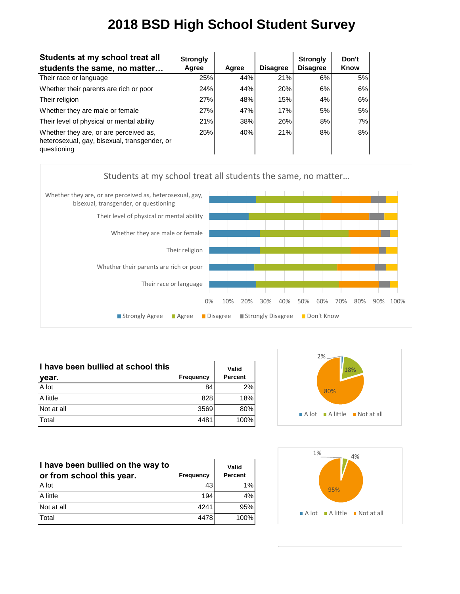| Students at my school treat all<br>students the same, no matter                                       | <b>Strongly</b><br>Agree | Agree | <b>Disagree</b> | <b>Strongly</b><br><b>Disagree</b> | Don't<br>Know |
|-------------------------------------------------------------------------------------------------------|--------------------------|-------|-----------------|------------------------------------|---------------|
| Their race or language                                                                                | 25%                      | 44%   | 21%             | 6%                                 | 5%            |
| Whether their parents are rich or poor                                                                | 24%                      | 44%   | 20%             | 6%                                 | 6%            |
| Their religion                                                                                        | 27%                      | 48%   | 15%             | 4%                                 | 6%            |
| Whether they are male or female                                                                       | 27%                      | 47%   | 17%             | 5%                                 | 5%            |
| Their level of physical or mental ability                                                             | 21%                      | 38%   | 26%             | 8%                                 | 7%            |
| Whether they are, or are perceived as,<br>heterosexual, gay, bisexual, transgender, or<br>questioning | 25%                      | 40%   | 21%             | 8%                                 | 8%            |



| I have been bullied at school this |           | Valid          |
|------------------------------------|-----------|----------------|
| year.                              | Frequency | <b>Percent</b> |
| A lot                              | 84        | 2%             |
| A little                           | 828       | 18%            |
| Not at all                         | 3569      | 80%            |
| Total                              | 4481      | 100%           |

| I have been bullied on the way to<br>or from school this year. | <b>Frequency</b> | Valid<br><b>Percent</b> |
|----------------------------------------------------------------|------------------|-------------------------|
| A lot                                                          | 43'              | 1%                      |
| A little                                                       | 194              | 4%                      |
| Not at all                                                     | 4241             | 95%                     |
| Total                                                          | 4478             | 100%                    |



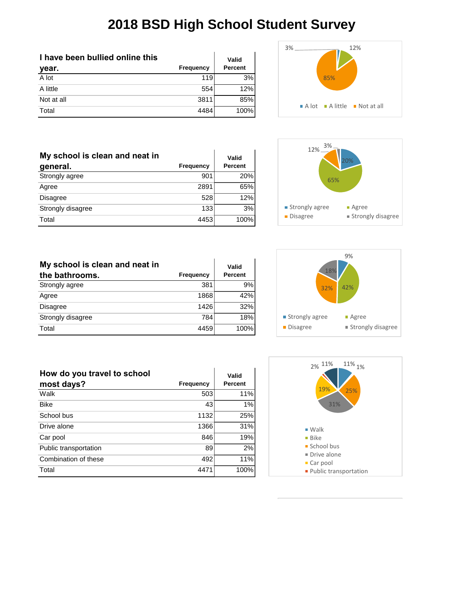**Valid Percent**

| I have been bullied online this |           | Valid   |
|---------------------------------|-----------|---------|
| year.                           | Frequency | Percent |
| A lot                           | 119       | 3%      |
| A little                        | 554       | 12%     |
| Not at all                      | 3811      | 85%     |
| Total                           | 4484      | 100%    |

Strongly agree 901 20% Agree 2891 65% Disagree 528 12% Strongly disagree 133 3% Total 4453 100%

**My school is clean and neat in** 

**general. Frequency**





| My school is clean and neat in |           | Valid   |
|--------------------------------|-----------|---------|
| the bathrooms.                 | Frequency | Percent |
| Strongly agree                 | 381       | 9%      |
| Agree                          | 1868      | 42%     |
| <b>Disagree</b>                | 1426      | 32%     |
| Strongly disagree              | 784       | 18%     |
| Total                          | 4459      | 100%    |



| How do you travel to school |                  | Valid   |
|-----------------------------|------------------|---------|
| most days?                  | <b>Frequency</b> | Percent |
| Walk                        | 503              | 11%     |
| <b>Bike</b>                 | 43               | 1%      |
| School bus                  | 1132             | 25%     |
| Drive alone                 | 1366             | 31%     |
| Car pool                    | 846              | 19%     |
| Public transportation       | 89               | 2%      |
| Combination of these        | 492              | 11%     |
| Total                       | 4471             | 100%    |

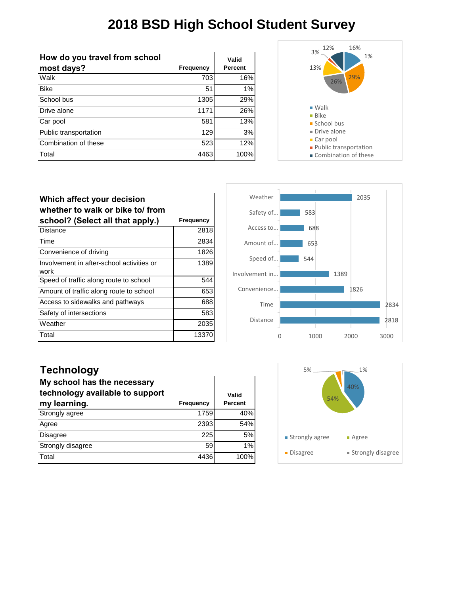$\mathbf{I}$ 

| How do you travel from school |           | Valid          |
|-------------------------------|-----------|----------------|
| most days?                    | Frequency | <b>Percent</b> |
| Walk                          | 703       | 16%            |
| <b>Bike</b>                   | 51        | 1%             |
| School bus                    | 1305      | 29%            |
| Drive alone                   | 1171      | 26%            |
| Car pool                      | 581       | 13%            |
| Public transportation         | 129       | 3%             |
| Combination of these          | 523       | 12%            |
| Total                         | 4463      | 100%           |



| Which affect your decision<br>whether to walk or bike to/ from |                  |
|----------------------------------------------------------------|------------------|
| school? (Select all that apply.)                               | <b>Frequency</b> |
| Distance                                                       | 2818             |
| Time                                                           | 2834             |
| Convenience of driving                                         | 1826             |
| Involvement in after-school activities or<br>work              | 1389             |
| Speed of traffic along route to school                         | 544              |
| Amount of traffic along route to school                        | 653              |
| Access to sidewalks and pathways                               | 688              |
| Safety of intersections                                        | 583              |
| Weather                                                        | 2035             |
| Total                                                          | 1337             |



#### **Technology**

| My school has the necessary<br>technology available to support |                  | Valid   |
|----------------------------------------------------------------|------------------|---------|
| my learning.                                                   | <b>Frequency</b> | Percent |
| Strongly agree                                                 | 1759             | 40%     |
| Agree                                                          | 2393             | 54%     |
| <b>Disagree</b>                                                | 225              | 5%      |
| Strongly disagree                                              | 59               | 1%      |
| Total                                                          | 4436             | 100%    |

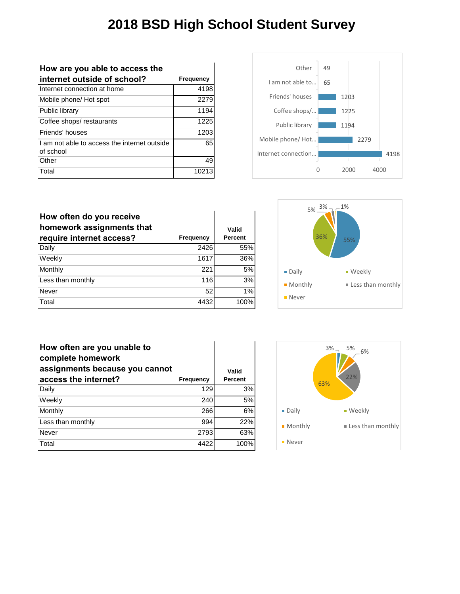| How are you able to access the                            |           |
|-----------------------------------------------------------|-----------|
| internet outside of school?                               | Frequency |
| Internet connection at home                               | 4198      |
| Mobile phone/ Hot spot                                    | 2279      |
| Public library                                            | 1194      |
| Coffee shops/restaurants                                  | 1225      |
| Friends' houses                                           | 1203      |
| I am not able to access the internet outside<br>of school | 65        |
| Other                                                     | 49        |
| Total                                                     |           |



| How often do you receive<br>homework assignments that<br>require internet access? | <b>Frequency</b> | Valid<br><b>Percent</b> |
|-----------------------------------------------------------------------------------|------------------|-------------------------|
| Daily                                                                             | 2426             | 55%                     |
| Weekly                                                                            | 1617             | 36%                     |
| Monthly                                                                           | 221              | 5%                      |
| Less than monthly                                                                 | 116              | 3%                      |
| Never                                                                             | 52               | 1%                      |
| Total                                                                             | 4432             | 100%                    |



| How often are you unable to<br>complete homework<br>assignments because you cannot |                  | Valid          |
|------------------------------------------------------------------------------------|------------------|----------------|
| access the internet?                                                               | <b>Frequency</b> | <b>Percent</b> |
| Daily                                                                              | 129              | 3%             |
| Weekly                                                                             | 240              | 5%             |
| Monthly                                                                            | 266              | 6%             |
| Less than monthly                                                                  | 994              | 22%            |
| Never                                                                              | 2793             | 63%            |
| Total                                                                              | 4422             | 100%           |

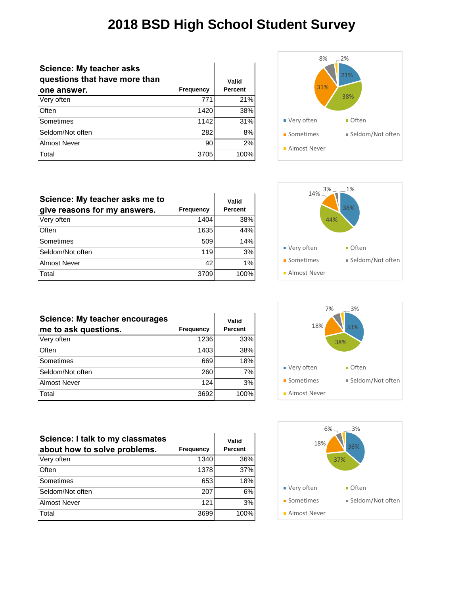| <b>Science: My teacher asks</b><br>questions that have more than |                  | Valid          |
|------------------------------------------------------------------|------------------|----------------|
| one answer.                                                      | <b>Frequency</b> | <b>Percent</b> |
| Very often                                                       | 771              | 21%            |
| Often                                                            | 1420             | 38%            |
| Sometimes                                                        | 1142             | 31%            |
| Seldom/Not often                                                 | 282              | 8%             |
| Almost Never                                                     | 90               | 2%             |
| Total                                                            | 3705             | 100%           |



| Science: My teacher asks me to<br>give reasons for my answers. | <b>Frequency</b> | Valid<br><b>Percent</b> |
|----------------------------------------------------------------|------------------|-------------------------|
| Very often                                                     | 1404             | 38%                     |
| Often                                                          | 1635             | 44%                     |
| Sometimes                                                      | 509              | 14%                     |
| Seldom/Not often                                               | 119              | 3%                      |
| <b>Almost Never</b>                                            | 42               | 1%                      |
| Total                                                          | 3709             | 100%                    |

| <b>Science: My teacher encourages</b><br>me to ask questions. | <b>Frequency</b> | Valid<br><b>Percent</b> |
|---------------------------------------------------------------|------------------|-------------------------|
| Very often                                                    | 1236             | 33%                     |
| Often                                                         | 1403             | 38%                     |
| Sometimes                                                     | 669              | 18%                     |
| Seldom/Not often                                              | 260              | 7%                      |
| <b>Almost Never</b>                                           | 124              | 3%                      |
| Total                                                         | 3692             | 100%                    |

| Science: I talk to my classmates<br>about how to solve problems. | <b>Frequency</b> | Valid<br>Percent |
|------------------------------------------------------------------|------------------|------------------|
| Very often                                                       | 1340             | 36%              |
| Often                                                            | 1378             | 37%              |
| Sometimes                                                        | 653              | 18%              |
| Seldom/Not often                                                 | 207              | 6%               |
| <b>Almost Never</b>                                              | 121              | 3%               |
| Total                                                            | 3699             | 100%             |





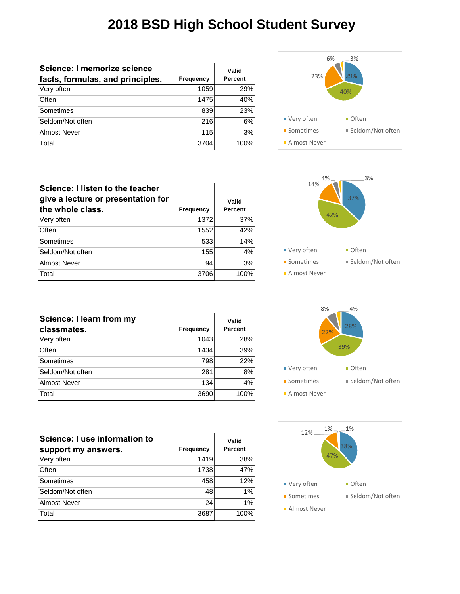| Science: I memorize science<br>facts, formulas, and principles. | Frequency | Valid<br><b>Percent</b> |
|-----------------------------------------------------------------|-----------|-------------------------|
|                                                                 |           |                         |
| Very often                                                      | 1059      | 29%                     |
| Often                                                           | 1475      | 40%                     |
| Sometimes                                                       | 839       | 23%                     |
| Seldom/Not often                                                | 216       | 6%                      |
| Almost Never                                                    | 115       | 3%                      |
| Total                                                           | 3704      | 100%                    |



| Science: I listen to the teacher<br>give a lecture or presentation for<br>the whole class. | <b>Frequency</b> | Valid<br>Percent |
|--------------------------------------------------------------------------------------------|------------------|------------------|
| Very often                                                                                 | 1372             | 37%              |
| Often                                                                                      | 1552             | 42%              |
| Sometimes                                                                                  | 533              | 14%              |
| Seldom/Not often                                                                           | 155              | 4%               |
| Almost Never                                                                               | 94               | 3%               |
| Total                                                                                      | 3706             | 100%             |

| Science: I learn from my |           | Valid   |
|--------------------------|-----------|---------|
| classmates.              | Frequency | Percent |
| Very often               | 1043      | 28%     |
| Often                    | 1434      | 39%     |
| Sometimes                | 798       | 22%     |
| Seldom/Not often         | 281       | 8%      |
| <b>Almost Never</b>      | 134       | 4%      |
| Total                    | 3690      | 100%    |

| Science: I use information to |           | Valid   |
|-------------------------------|-----------|---------|
| support my answers.           | Frequency | Percent |
| Very often                    | 1419      | 38%     |
| Often                         | 1738      | 47%     |
| Sometimes                     | 458       | 12%     |
| Seldom/Not often              | 48        | 1%      |
| Almost Never                  | 24        | 1%      |
| Total                         | 3687      | 100%    |





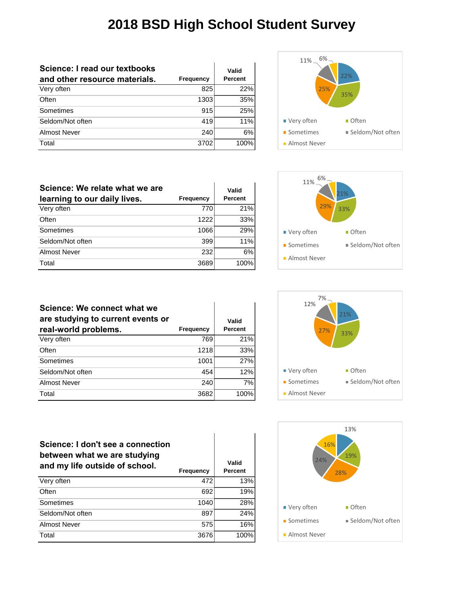| Science: I read our textbooks<br>and other resource materials. | Frequency | Valid<br><b>Percent</b> |
|----------------------------------------------------------------|-----------|-------------------------|
|                                                                |           |                         |
| Very often                                                     | 825       | 22%                     |
| Often                                                          | 1303      | 35%                     |
| Sometimes                                                      | 915       | 25%                     |
| Seldom/Not often                                               | 419       | 11%                     |
| <b>Almost Never</b>                                            | 240       | 6%                      |
| Total                                                          | 3702      | 100%                    |



| Science: We relate what we are<br>learning to our daily lives. | Frequency | Valid<br><b>Percent</b> |
|----------------------------------------------------------------|-----------|-------------------------|
| Very often                                                     | 770       | 21%                     |
| Often                                                          | 1222      | 33%                     |
| Sometimes                                                      | 1066      | 29%                     |
| Seldom/Not often                                               | 399       | 11%                     |
| Almost Never                                                   | 232       | 6%                      |
| Total                                                          | 3689      | 100%                    |



| Science: We connect what we<br>are studying to current events or<br>real-world problems. | Frequency | Valid<br><b>Percent</b> |
|------------------------------------------------------------------------------------------|-----------|-------------------------|
| Very often                                                                               | 769       | 21%                     |
| Often                                                                                    | 1218      | 33%                     |
| Sometimes                                                                                | 1001      | 27%                     |
| Seldom/Not often                                                                         | 454       | 12%                     |
| Almost Never                                                                             | 240       | 7%                      |
| Total                                                                                    | 3682      | 100%                    |



| Science: I don't see a connection<br>between what we are studying<br>and my life outside of school. | <b>Frequency</b> | Valid<br>Percent |
|-----------------------------------------------------------------------------------------------------|------------------|------------------|
| Very often                                                                                          | 472              | 13%              |
| Often                                                                                               | 692              | 19%              |
| Sometimes                                                                                           | 1040             | 28%              |
| Seldom/Not often                                                                                    | 897              | 24%              |
| Almost Never                                                                                        | 575              | 16%              |

Total 3676 100%

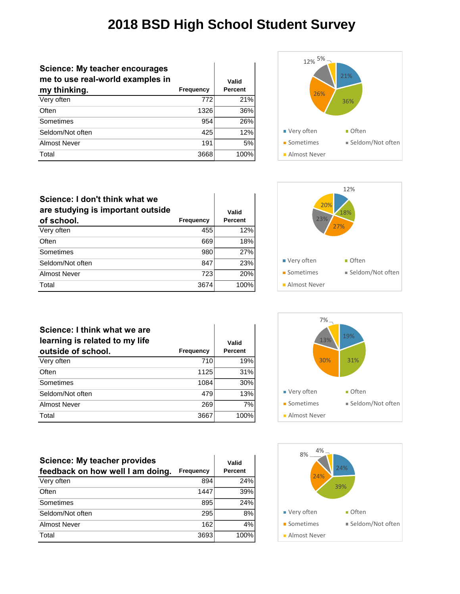| <b>Science: My teacher encourages</b><br>me to use real-world examples in |                  | Valid   |
|---------------------------------------------------------------------------|------------------|---------|
| my thinking.                                                              | <b>Frequency</b> | Percent |
| Very often                                                                | 772              | 21%     |
| Often                                                                     | 1326             | 36%     |
| Sometimes                                                                 | 954              | 26%     |
| Seldom/Not often                                                          | 425              | 12%     |
| Almost Never                                                              | 191              | 5%      |
| Total                                                                     | 3668             | 100%    |



| Science: I don't think what we<br>are studying is important outside<br>of school. | <b>Frequency</b> | Valid<br><b>Percent</b> |
|-----------------------------------------------------------------------------------|------------------|-------------------------|
| Very often                                                                        | 455              | 12%                     |
| Often                                                                             | 669              | 18%                     |
| Sometimes                                                                         | 980              | 27%                     |
| Seldom/Not often                                                                  | 847              | 23%                     |
| Almost Never                                                                      | 723              | 20%                     |
| Total                                                                             | 3674             | 100%                    |



| Science: I think what we are<br>learning is related to my life<br>outside of school. | Frequency | Valid<br><b>Percent</b> |
|--------------------------------------------------------------------------------------|-----------|-------------------------|
| Very often                                                                           | 710       | 19%                     |
| Often                                                                                | 1125      | 31%                     |
| Sometimes                                                                            | 1084      | 30%                     |
| Seldom/Not often                                                                     | 479       | 13%                     |
| Almost Never                                                                         | 269       | 7%                      |
| Total                                                                                | 3667      | 100%                    |

| $7%$ .<br>13%<br>30% | 19%<br>31%           |
|----------------------|----------------------|
| ■ Very often         | $\blacksquare$ Often |
| • Sometimes          | ■ Seldom/Not often   |
| Almost Never         |                      |
|                      |                      |

| <b>Science: My teacher provides</b><br>feedback on how well I am doing. | <b>Frequency</b> | Valid<br><b>Percent</b> |
|-------------------------------------------------------------------------|------------------|-------------------------|
| Very often                                                              | 894              | 24%                     |
| Often                                                                   | 1447             | 39%                     |
| Sometimes                                                               | 895              | 24%                     |
| Seldom/Not often                                                        | 295              | 8%                      |
| Almost Never                                                            | 162              | 4%                      |
| Total                                                                   | 3693             | 100%                    |

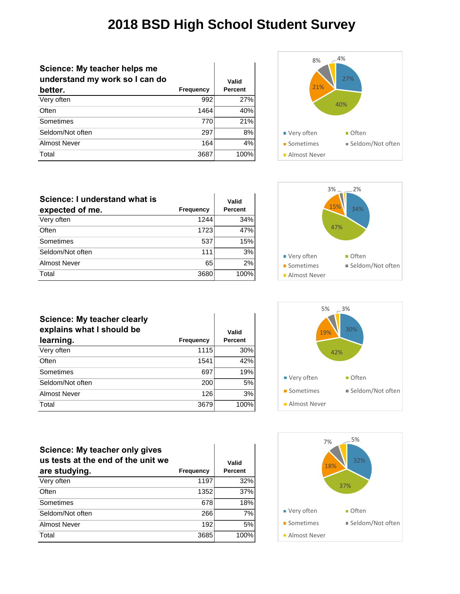| Science: My teacher helps me<br>understand my work so I can do |                  | Valid          |
|----------------------------------------------------------------|------------------|----------------|
| better.                                                        | <b>Frequency</b> | <b>Percent</b> |
| Very often                                                     | 992              | 27%            |
| Often                                                          | 1464             | 40%            |
| Sometimes                                                      | 770              | 21%            |
| Seldom/Not often                                               | 297              | 8%             |
| Almost Never                                                   | 164              | 4%             |
| Total                                                          | 3687             | 100%           |



| Science: I understand what is |           | Valid   |
|-------------------------------|-----------|---------|
| expected of me.               | Frequency | Percent |
| Very often                    | 1244      | 34%     |
| Often                         | 1723      | 47%     |
| Sometimes                     | 537       | 15%     |
| Seldom/Not often              | 111       | 3%      |
| <b>Almost Never</b>           | 65        | 2%      |
| Total                         | 3680      | 100%    |

| Science: My teacher clearly<br>explains what I should be<br>learning. | <b>Frequency</b> | Valid<br><b>Percent</b> |
|-----------------------------------------------------------------------|------------------|-------------------------|
| Very often                                                            | 1115             | 30%                     |
| Often                                                                 | 1541             | 42%                     |
| Sometimes                                                             | 697              | 19%                     |
| Seldom/Not often                                                      | 200              | 5%                      |
| Almost Never                                                          | 126              | 3%                      |
| Total                                                                 | 3679             | 100%                    |

ï







| Science: My teacher only gives<br>us tests at the end of the unit we |           | Valid   |
|----------------------------------------------------------------------|-----------|---------|
| are studying.                                                        | Frequency | Percent |
| Very often                                                           | 1197      | 32%     |
| Often                                                                | 1352      | 37%     |
| Sometimes                                                            | 678       | 18%     |
| Seldom/Not often                                                     | 266       | 7%      |
| Almost Never                                                         | 192       | 5%      |
| Total                                                                | 3685      | 100%    |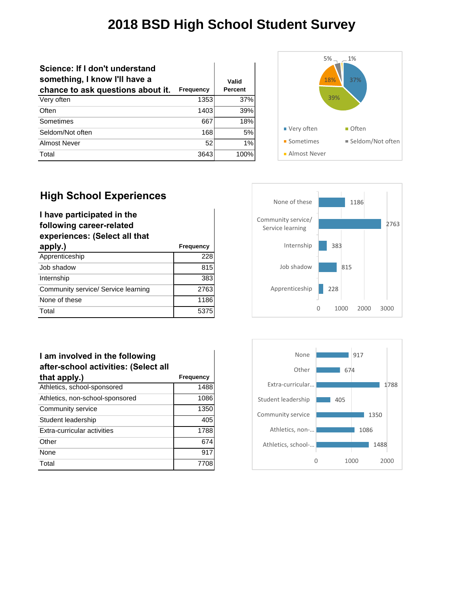| Science: If I don't understand<br>something, I know I'll have a<br>chance to ask questions about it. | Frequency | Valid<br><b>Percent</b> |
|------------------------------------------------------------------------------------------------------|-----------|-------------------------|
| Very often                                                                                           | 1353      | 37%                     |
| Often                                                                                                | 1403      | 39%                     |
| Sometimes                                                                                            | 667       | 18%                     |
| Seldom/Not often                                                                                     | 168       | 5%                      |
| Almost Never                                                                                         | 52        | 1%                      |
| Total                                                                                                | 3643      | 100%                    |



#### **High School Experiences**

| I have participated in the          |           |  |
|-------------------------------------|-----------|--|
| following career-related            |           |  |
| experiences: (Select all that       |           |  |
| apply.)                             | Frequency |  |
| Apprenticeship                      | 228       |  |
| Job shadow                          | 815       |  |
| Internship                          | 383       |  |
| Community service/ Service learning | 2763      |  |
| None of these                       | 1186      |  |
| Total                               | 5375      |  |





#### **I am involved in the following after-school activities: (Select all that apply.) Frequency**

| .                               |      |
|---------------------------------|------|
| Athletics, school-sponsored     | 1488 |
| Athletics, non-school-sponsored | 1086 |
| Community service               | 1350 |
| Student leadership              | 405  |
| Extra-curricular activities     | 1788 |
| Other                           | 674  |
| None                            | 917  |
| Total                           |      |